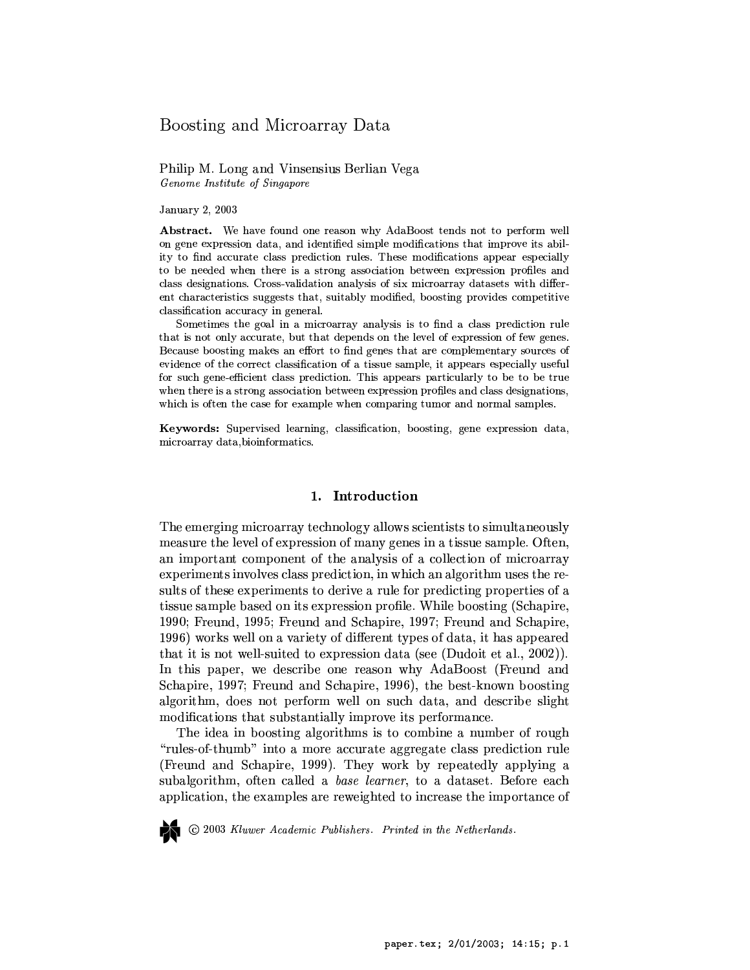# Boosting and Microarray Data

Philip M. Long and Vinsensius Berlian Vega Genome Institute of Singapore

January 2, 2003

Abstract. We have found one reason why AdaBoost tends not to perform well on gene expression data, and identified simple modifications that improve its ability to find accurate class prediction rules. These modifications appear especially to be needed when there is a strong association between expression profiles and class designations. Cross-validation analysis of six microarray datasets with different characteristics suggests that, suitably modified, boosting provides competitive classification accuracy in general.

Sometimes the goal in a microarray analysis is to find a class prediction rule that is not only accurate, but that depends on the level of expression of few genes. Because boosting makes an effort to find genes that are complementary sources of evidence of the correct classification of a tissue sample, it appears especially useful for such gene-efficient class prediction. This appears particularly to be to be true when there is a strong association between expression profiles and class designations, which is often the case for example when comparing tumor and normal samples.

Keywords: Supervised learning, classification, boosting, gene expression data, microarray data, bioinformatics.

## 1. Introduction

The emerging microarray technology allows scientists to simultaneously measure the level of expression of many genes in a tissue sample. Often, an important component of the analysis of a collection of microarray experiments involves class prediction, in which an algorithm uses the results of these experiments to derive a rule for predicting properties of a tissue sample based on its expression profile. While boosting (Schapire, 1990; Freund, 1995; Freund and Schapire, 1997; Freund and Schapire, 1996) works well on a variety of different types of data, it has appeared that it is not well-suited to expression data (see (Dudoit et al., 2002)). In this paper, we describe one reason why AdaBoost (Freund and Schapire, 1997; Freund and Schapire, 1996), the best-known boosting algorithm, does not perform well on such data, and describe slight modifications that substantially improve its performance.

The idea in boosting algorithms is to combine a number of rough "rules-of-thumb" into a more accurate aggregate class prediction rule (Freund and Schapire, 1999). They work by repeatedly applying a subalgorithm, often called a *base learner*, to a dataset. Before each application, the examples are reweighted to increase the importance of



© 2003 Kluwer Academic Publishers. Printed in the Netherlands.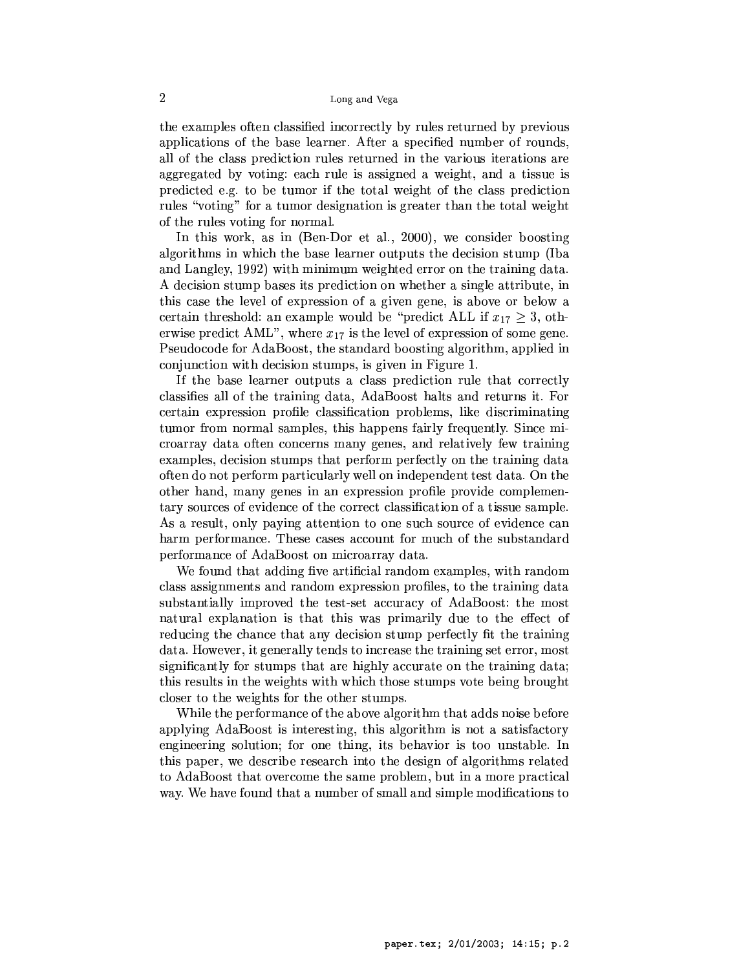the examples often classified incorrectly by rules returned by previous applications of the base learner. After a specified number of rounds, all of the class prediction rules returned in the various iterations are aggregated by voting: each rule is assigned a weight, and a tissue is predicted e.g. to be tumor if the total weight of the class prediction rules "voting" for a tumor designation is greater than the total weight of the rules voting for normal.

In this work, as in (Ben-Dor et al., 2000), we consider boosting algorithms in which the base learner outputs the decision stump (Iba and Langley, 1992) with minimum weighted error on the training data. A decision stump bases its prediction on whether a single attribute, in this case the level of expression of a given gene, is above or below a certain threshold: an example would be "predict ALL if  $x_{17} \geq 3$ , otherwise predict AML", where  $x_{17}$  is the level of expression of some gene. Pseudocode for AdaBoost, the standard boosting algorithm, applied in conjunction with decision stumps, is given in Figure 1.

If the base learner outputs a class prediction rule that correctly classifies all of the training data, AdaBoost halts and returns it. For certain expression profile classification problems, like discriminating tumor from normal samples, this happens fairly frequently. Since microarray data often concerns many genes, and relatively few training examples, decision stumps that perform perfectly on the training data often do not perform particularly well on independent test data. On the other hand, many genes in an expression profile provide complementary sources of evidence of the correct classification of a tissue sample. As a result, only paying attention to one such source of evidence can harm performance. These cases account for much of the substandard performance of AdaBoost on microarray data.

We found that adding five artificial random examples, with random class assignments and random expression profiles, to the training data substantially improved the test-set accuracy of AdaBoost: the most natural explanation is that this was primarily due to the effect of reducing the chance that any decision stump perfectly fit the training data. However, it generally tends to increase the training set error, most significantly for stumps that are highly accurate on the training data; this results in the weights with which those stumps vote being brought closer to the weights for the other stumps.

While the performance of the above algorithm that adds noise before applying AdaBoost is interesting, this algorithm is not a satisfactory engineering solution; for one thing, its behavior is too unstable. In this paper, we describe research into the design of algorithms related to AdaBoost that overcome the same problem, but in a more practical way. We have found that a number of small and simple modifications to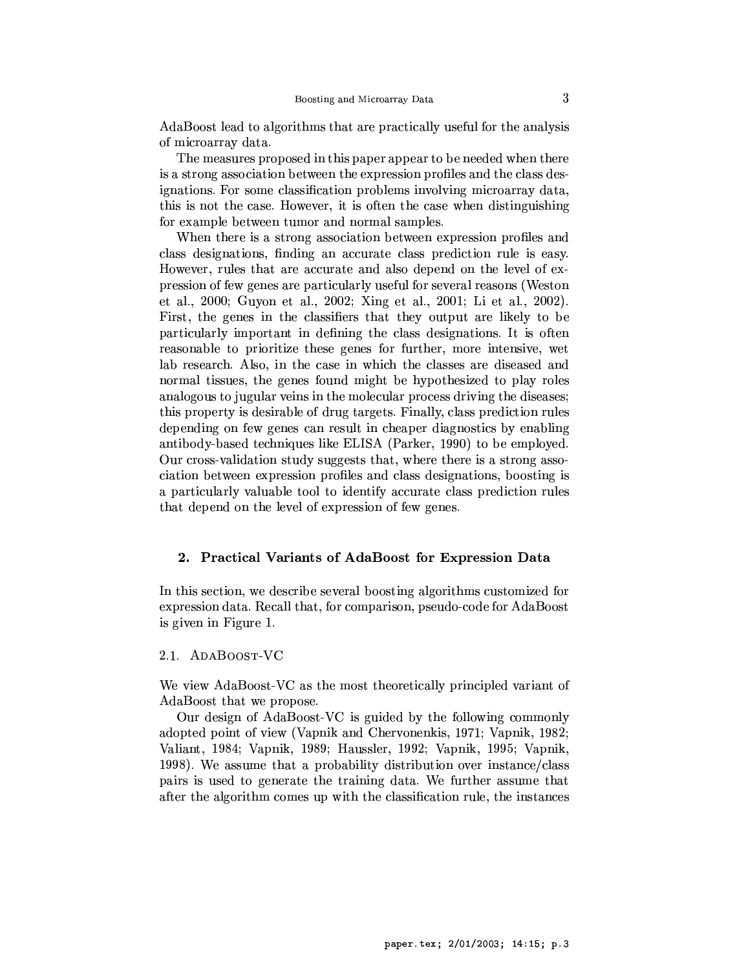AdaBoost lead to algorithms that are practically useful for the analysis of microarray data.

The measures proposed in this paper appear to be needed when there is a strong association between the expression profiles and the class designations. For some classification problems involving microarray data. this is not the case. However, it is often the case when distinguishing for example between tumor and normal samples.

When there is a strong association between expression profiles and class designations, finding an accurate class prediction rule is easy. However, rules that are accurate and also depend on the level of expression of few genes are particularly useful for several reasons (Weston et al., 2000; Guyon et al., 2002; Xing et al., 2001; Li et al., 2002). First, the genes in the classifiers that they output are likely to be particularly important in defining the class designations. It is often reasonable to prioritize these genes for further, more intensive, wet lab research. Also, in the case in which the classes are diseased and normal tissues, the genes found might be hypothesized to play roles analogous to jugular veins in the molecular process driving the diseases; this property is desirable of drug targets. Finally, class prediction rules depending on few genes can result in cheaper diagnostics by enabling antibody-based techniques like ELISA (Parker, 1990) to be employed. Our cross-validation study suggests that, where there is a strong association between expression profiles and class designations, boosting is a particularly valuable tool to identify accurate class prediction rules that depend on the level of expression of few genes.

# 2. Practical Variants of AdaBoost for Expression Data

In this section, we describe several boosting algorithms customized for expression data. Recall that, for comparison, pseudo-code for AdaBoost is given in Figure 1.

#### 2.1. ADABOOST-VC

We view AdaBoost-VC as the most theoretically principled variant of AdaBoost that we propose.

Our design of AdaBoost-VC is guided by the following commonly adopted point of view (Vapnik and Chervonenkis, 1971; Vapnik, 1982; Valiant, 1984; Vapnik, 1989; Haussler, 1992; Vapnik, 1995; Vapnik, 1998). We assume that a probability distribution over instance/class pairs is used to generate the training data. We further assume that after the algorithm comes up with the classification rule, the instances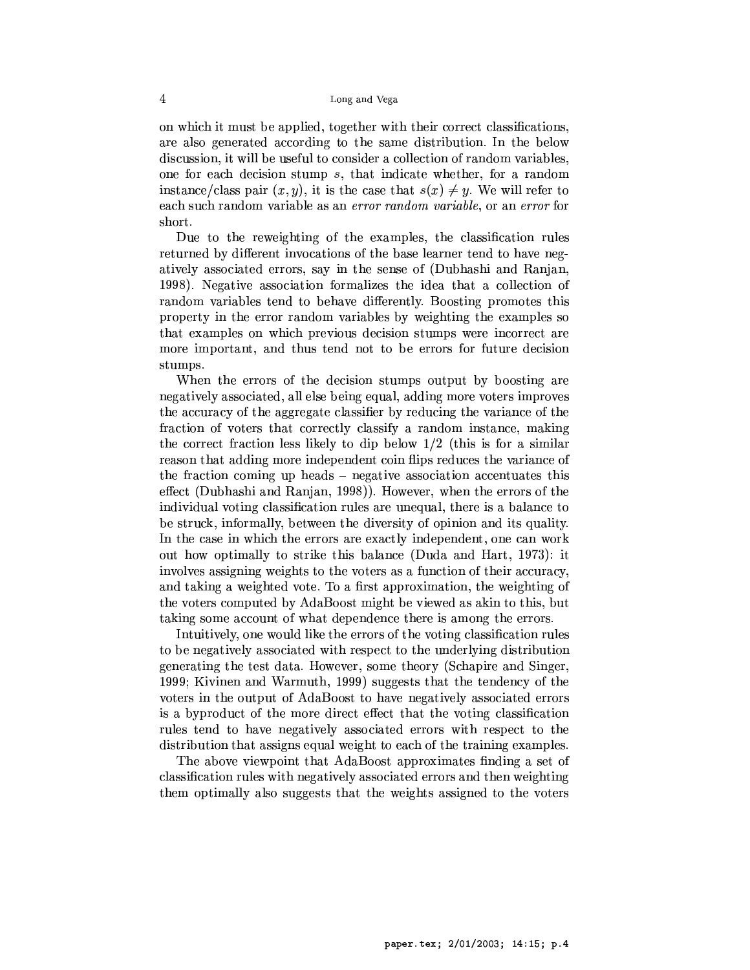on which it must be applied, together with their correct classifications, are also generated according to the same distribution. In the below discussion, it will be useful to consider a collection of random variables, one for each decision stump s, that indicate whether, for a random instance/class pair  $(x, y)$ , it is the case that  $s(x) \neq y$ . We will refer to each such random variable as an *error random variable*, or an *error* for short.

Due to the reweighting of the examples, the classification rules returned by different invocations of the base learner tend to have negatively associated errors, say in the sense of (Dubhashi and Ranjan, 1998). Negative association formalizes the idea that a collection of random variables tend to behave differently. Boosting promotes this property in the error random variables by weighting the examples so that examples on which previous decision stumps were incorrect are more important, and thus tend not to be errors for future decision stumps.

When the errors of the decision stumps output by boosting are negatively associated, all else being equal, adding more voters improves the accuracy of the aggregate classifier by reducing the variance of the fraction of voters that correctly classify a random instance, making the correct fraction less likely to dip below  $1/2$  (this is for a similar reason that adding more independent coin flips reduces the variance of the fraction coming up heads – negative association accentuates this effect (Dubhashi and Ranjan, 1998)). However, when the errors of the individual voting classification rules are unequal, there is a balance to be struck, informally, between the diversity of opinion and its quality. In the case in which the errors are exactly independent, one can work out how optimally to strike this balance (Duda and Hart, 1973): it involves assigning weights to the voters as a function of their accuracy, and taking a weighted vote. To a first approximation, the weighting of the voters computed by AdaBoost might be viewed as akin to this, but taking some account of what dependence there is among the errors.

Intuitively, one would like the errors of the voting classification rules to be negatively associated with respect to the underlying distribution generating the test data. However, some theory (Schapire and Singer, 1999; Kivinen and Warmuth, 1999) suggests that the tendency of the voters in the output of AdaBoost to have negatively associated errors is a byproduct of the more direct effect that the voting classification rules tend to have negatively associated errors with respect to the distribution that assigns equal weight to each of the training examples.

The above viewpoint that AdaBoost approximates finding a set of classification rules with negatively associated errors and then weighting them optimally also suggests that the weights assigned to the voters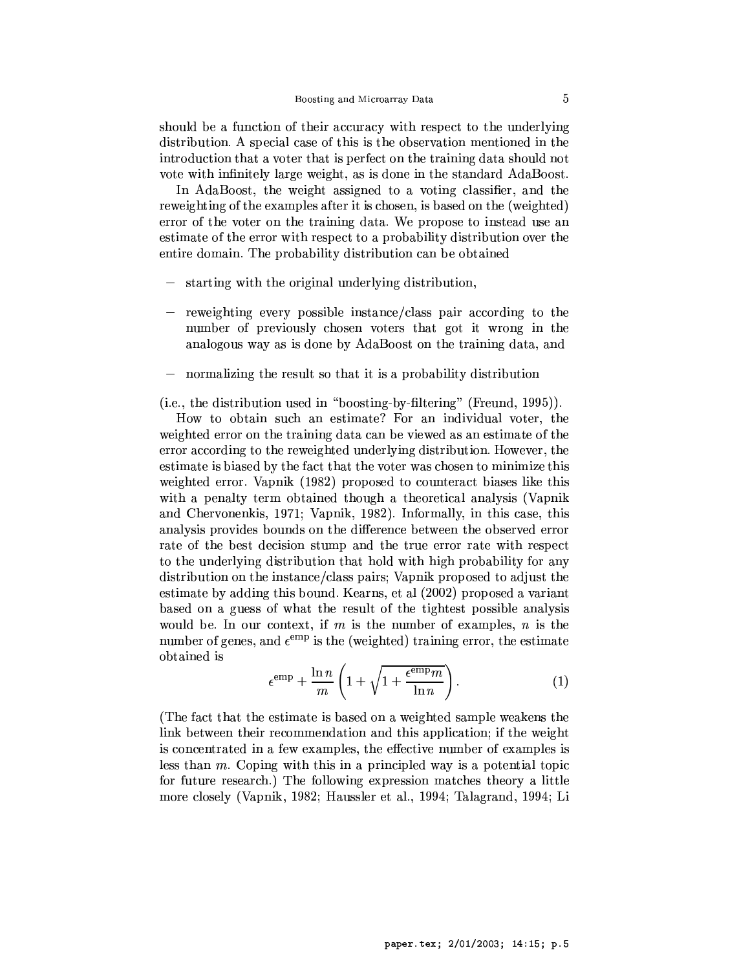should be a function of their accuracy with respect to the underlying distribution. A special case of this is the observation mentioned in the introduction that a voter that is perfect on the training data should not vote with infinitely large weight, as is done in the standard AdaBoost.

In AdaBoost, the weight assigned to a voting classifier, and the reweighting of the examples after it is chosen, is based on the (weighted) error of the voter on the training data. We propose to instead use an estimate of the error with respect to a probability distribution over the entire domain. The probability distribution can be obtained

- starting with the original underlying distribution,
- reweighting every possible instance/class pair according to the number of previously chosen voters that got it wrong in the analogous way as is done by AdaBoost on the training data, and
- normalizing the result so that it is a probability distribution

(i.e., the distribution used in "boosting-by-filtering" (Freund, 1995)).

How to obtain such an estimate? For an individual voter, the weighted error on the training data can be viewed as an estimate of the error according to the reweighted underlying distribution. However, the estimate is biased by the fact that the voter was chosen to minimize this weighted error. Vapnik (1982) proposed to counteract biases like this with a penalty term obtained though a theoretical analysis (Vapnik and Chervonenkis, 1971; Vapnik, 1982). Informally, in this case, this analysis provides bounds on the difference between the observed error rate of the best decision stump and the true error rate with respect to the underlying distribution that hold with high probability for any distribution on the instance/class pairs; Vapnik proposed to adjust the estimate by adding this bound. Kearns, et al (2002) proposed a variant based on a guess of what the result of the tightest possible analysis would be. In our context, if  $m$  is the number of examples,  $n$  is the number of genes, and  $\epsilon^{\rm emp}$  is the (weighted) training error, the estimate obtained is

$$
\epsilon^{\text{emp}} + \frac{\ln n}{m} \left( 1 + \sqrt{1 + \frac{\epsilon^{\text{emp}} m}{\ln n}} \right). \tag{1}
$$

(The fact that the estimate is based on a weighted sample weakens the link between their recommendation and this application; if the weight is concentrated in a few examples, the effective number of examples is less than  $m$ . Coping with this in a principled way is a potential topic for future research.) The following expression matches theory a little more closely (Vapnik, 1982; Haussler et al., 1994; Talagrand, 1994; Li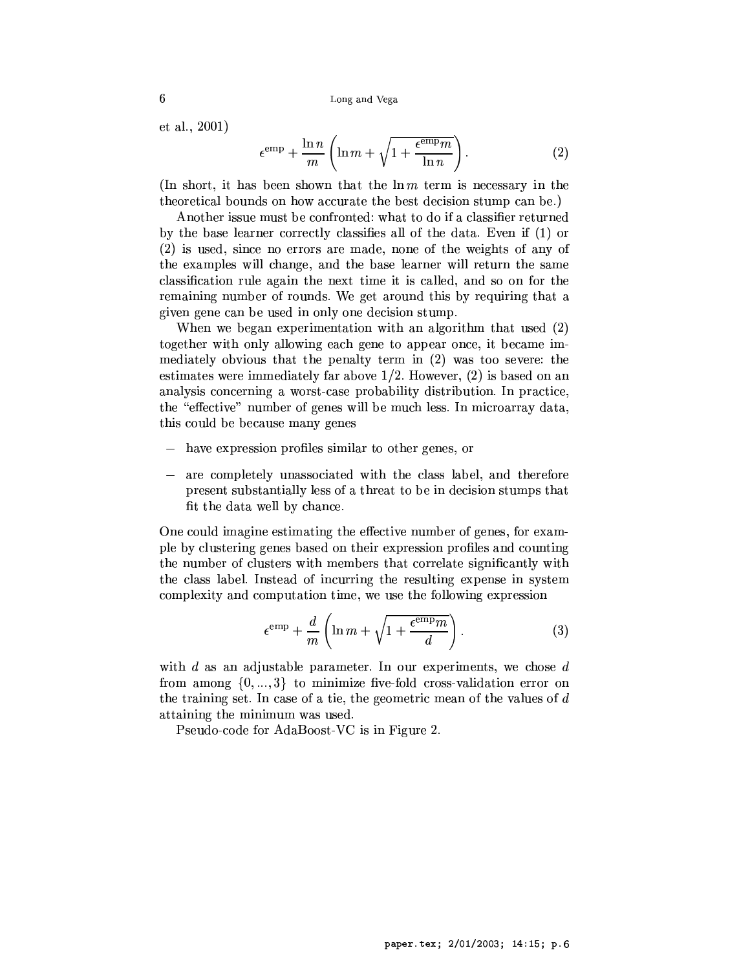$et al., 2001)$ 

$$
\epsilon^{\rm emp} + \frac{\ln n}{m} \left( \ln m + \sqrt{1 + \frac{\epsilon^{\rm emp} m}{\ln n}} \right). \tag{2}
$$

(In short, it has been shown that the  $\ln m$  term is necessary in the theoretical bounds on how accurate the best decision stump can be.)

Another issue must be confronted: what to do if a classifier returned by the base learner correctly classifies all of the data. Even if (1) or (2) is used, since no errors are made, none of the weights of any of the examples will change, and the base learner will return the same classification rule again the next time it is called, and so on for the remaining number of rounds. We get around this by requiring that a given gene can be used in only one decision stump.

When we began experimentation with an algorithm that used (2) together with only allowing each gene to appear once, it became immediately obvious that the penalty term in  $(2)$  was too severe: the estimates were immediately far above  $1/2$ . However,  $(2)$  is based on an analysis concerning a worst-case probability distribution. In practice, the "effective" number of genes will be much less. In microarray data, this could be because many genes

- have expression profiles similar to other genes, or
- are completely unassociated with the class label, and therefore present substantially less of a threat to be in decision stumps that fit the data well by chance.

One could imagine estimating the effective number of genes, for example by clustering genes based on their expression profiles and counting the number of clusters with members that correlate significantly with the class label. Instead of incurring the resulting expense in system complexity and computation time, we use the following expression

$$
\epsilon^{\rm emp} + \frac{d}{m} \left( \ln m + \sqrt{1 + \frac{\epsilon^{\rm emp} m}{d}} \right). \tag{3}
$$

with  $d$  as an adjustable parameter. In our experiments, we chose  $d$ from among  $\{0, ..., 3\}$  to minimize five-fold cross-validation error on the training set. In case of a tie, the geometric mean of the values of  $d$ attaining the minimum was used.

Pseudo-code for AdaBoost-VC is in Figure 2.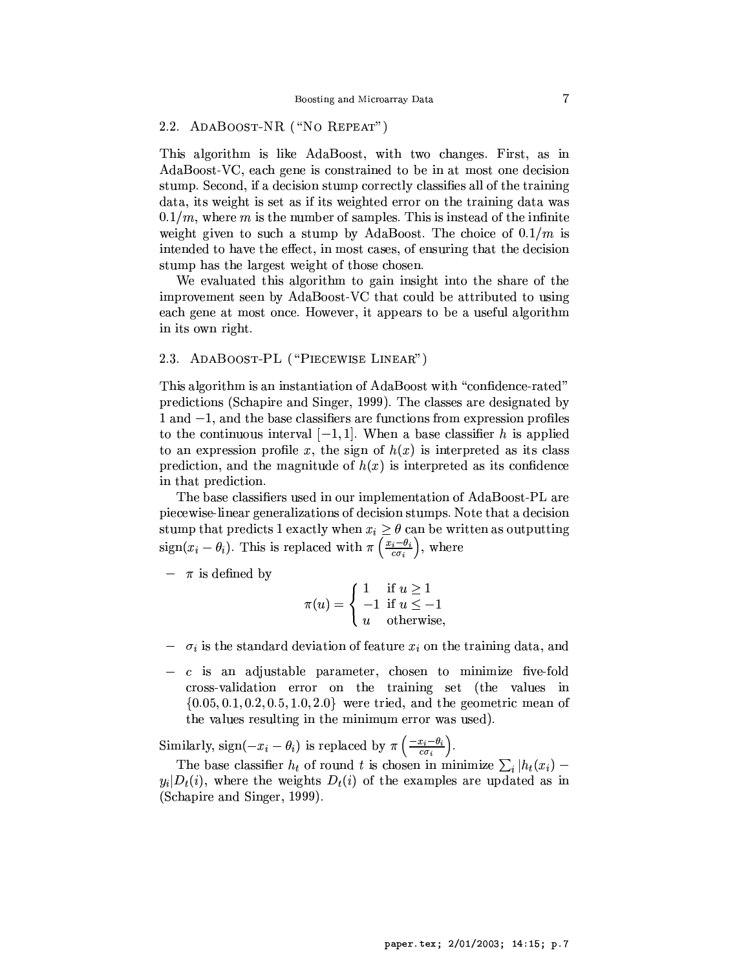# 2.2. ADABOOST-NR ("NO REPEAT")

This algorithm is like AdaBoost, with two changes. First, as in AdaBoost-VC, each gene is constrained to be in at most one decision stump. Second, if a decision stump correctly classifies all of the training data, its weight is set as if its weighted error on the training data was  $0.1/m$ , where m is the number of samples. This is instead of the infinite weight given to such a stump by AdaBoost. The choice of  $0.1/m$  is intended to have the effect, in most cases, of ensuring that the decision stump has the largest weight of those chosen.

We evaluated this algorithm to gain insight into the share of the improvement seen by AdaBoost-VC that could be attributed to using each gene at most once. However, it appears to be a useful algorithm in its own right.

### 2.3. ADABOOST-PL ("PIECEWISE LINEAR")

This algorithm is an instantiation of AdaBoost with "confidence-rated" predictions (Schapire and Singer, 1999). The classes are designated by  $1$  and  $-1$ , and the base classifiers are functions from expression profiles to the continuous interval  $[-1,1]$ . When a base classifier h is applied to an expression profile x, the sign of  $h(x)$  is interpreted as its class prediction, and the magnitude of  $h(x)$  is interpreted as its confidence in that prediction.

The base classifiers used in our implementation of AdaBoost-PL are piecewise-linear generalizations of decision stumps. Note that a decision stump that predicts 1 exactly when  $x_i \geq \theta$  can be written as outputting  $sign(x_i - \theta_i)$ . This is replaced with  $\pi\left(\frac{x_i - \theta_i}{c\sigma_i}\right)$ , where

 $\pi$  is defined by

$$
\pi(u) = \begin{cases} 1 & \text{if } u \ge 1 \\ -1 & \text{if } u \le -1 \\ u & \text{otherwise,} \end{cases}
$$

- $\sigma_i$  is the standard deviation of feature  $x_i$  on the training data, and
- c is an adjustable parameter, chosen to minimize five-fold cross-validation error on the training set (the values in  $\{0.05, 0.1, 0.2, 0.5, 1.0, 2.0\}$  were tried, and the geometric mean of the values resulting in the minimum error was used).

Similarly, sign( $-x_i - \theta_i$ ) is replaced by  $\pi\left(\frac{-x_i - \theta_i}{c\sigma_i}\right)$ .<br>The base classifier  $h_t$  of round t is chosen in minimize  $\sum_i |h_t(x_i) - \theta_i|$ 

 $y_i|D_t(i)$ , where the weights  $D_t(i)$  of the examples are updated as in (Schapire and Singer, 1999).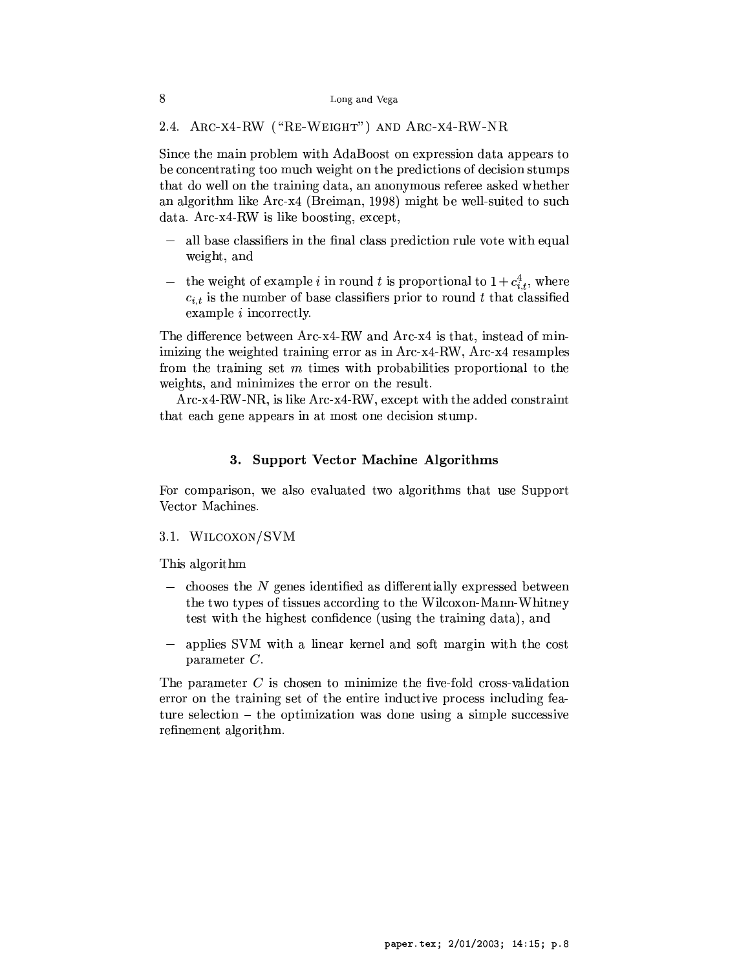2.4. ARC-X4-RW ("RE-WEIGHT") AND ARC-X4-RW-NR

Since the main problem with AdaBoost on expression data appears to be concentrating too much weight on the predictions of decision stumps that do well on the training data, an anonymous referee asked whether an algorithm like Arc-x4 (Breiman, 1998) might be well-suited to such data. Arc-x4-RW is like boosting, except,

- all base classifiers in the final class prediction rule vote with equal weight, and
- the weight of example i in round t is proportional to  $1+c_{i,t}^4$ , where  $c_{i,t}$  is the number of base classifiers prior to round t that classified example  $i$  incorrectly.

The difference between Arc-x4-RW and Arc-x4 is that, instead of minimizing the weighted training error as in Arc-x4-RW, Arc-x4 resamples from the training set  $m$  times with probabilities proportional to the weights, and minimizes the error on the result.

Arc-x4-RW-NR, is like Arc-x4-RW, except with the added constraint that each gene appears in at most one decision stump.

# 3. Support Vector Machine Algorithms

For comparison, we also evaluated two algorithms that use Support Vector Machines.

### 3.1. WILCOXON/SVM

This algorithm

- chooses the  $N$  genes identified as differentially expressed between the two types of tissues according to the Wilcoxon-Mann-Whitney test with the highest confidence (using the training data), and
- applies SVM with a linear kernel and soft margin with the cost parameter  $C$ .

The parameter  $C$  is chosen to minimize the five-fold cross-validation error on the training set of the entire inductive process including feature selection – the optimization was done using a simple successive refinement algorithm.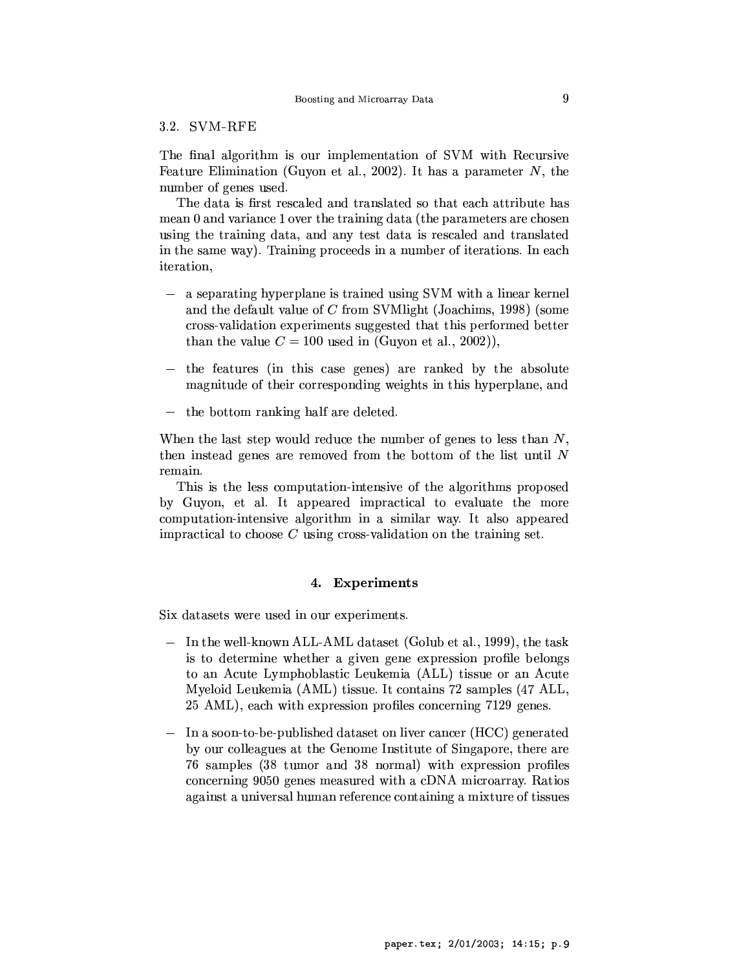### 3.2. SVM-RFE

The final algorithm is our implementation of SVM with Recursive Feature Elimination (Guyon et al., 2002). It has a parameter  $N$ , the number of genes used.

The data is first rescaled and translated so that each attribute has mean 0 and variance 1 over the training data (the parameters are chosen using the training data, and any test data is rescaled and translated in the same way). Training proceeds in a number of iterations. In each *iteration,* 

- a separating hyperplane is trained using SVM with a linear kernel and the default value of C from SVMIight (Joachims, 1998) (some cross-validation experiments suggested that this performed better than the value  $C = 100$  used in (Guyon et al., 2002)),
- the features (in this case genes) are ranked by the absolute magnitude of their corresponding weights in this hyperplane, and
- the bottom ranking half are deleted.

When the last step would reduce the number of genes to less than  $N$ . then instead genes are removed from the bottom of the list until N remain.

This is the less computation-intensive of the algorithms proposed by Guyon, et al. It appeared impractical to evaluate the more computation-intensive algorithm in a similar way. It also appeared impractical to choose  $C$  using cross-validation on the training set.

### 4. Experiments

Six datasets were used in our experiments.

- In the well-known ALL-AML dataset (Golub et al., 1999), the task is to determine whether a given gene expression profile belongs to an Acute Lymphoblastic Leukemia (ALL) tissue or an Acute Myeloid Leukemia (AML) tissue. It contains 72 samples (47 ALL, 25 AML), each with expression profiles concerning 7129 genes.
- In a soon-to-be-published dataset on liver cancer (HCC) generated by our colleagues at the Genome Institute of Singapore, there are 76 samples (38 tumor and 38 normal) with expression profiles concerning 9050 genes measured with a cDNA microarray. Ratios against a universal human reference containing a mixture of tissues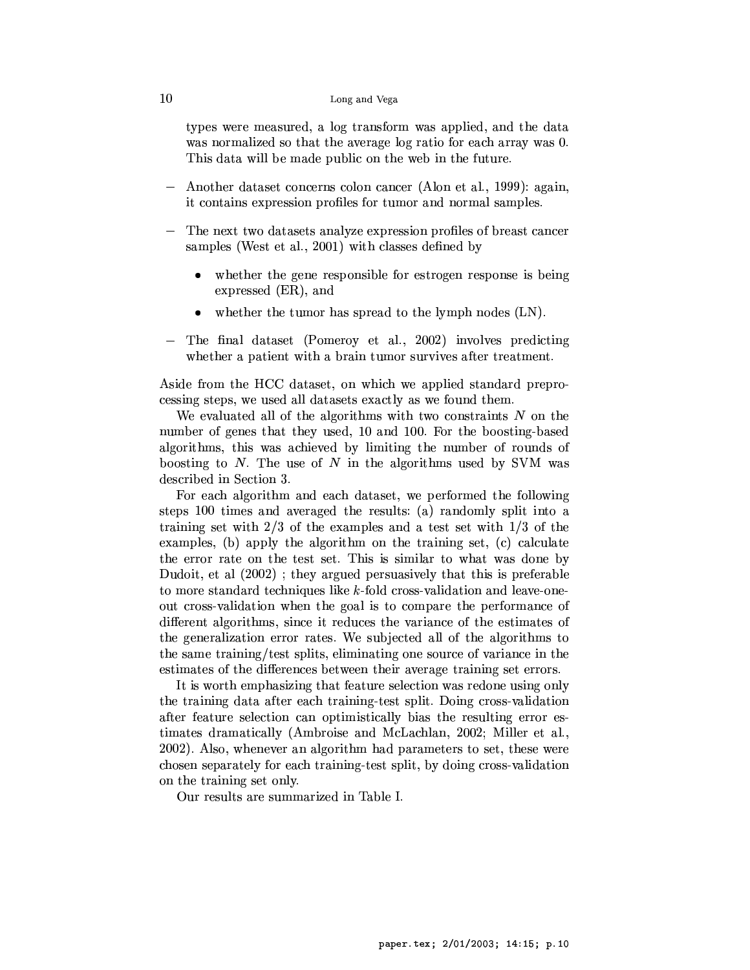types were measured, a log transform was applied, and the data was normalized so that the average log ratio for each array was 0. This data will be made public on the web in the future.

- Another dataset concerns colon cancer (Alon et al., 1999): again, it contains expression profiles for tumor and normal samples.
- The next two datasets analyze expression profiles of breast cancer samples (West et al., 2001) with classes defined by
	- whether the gene responsible for estrogen response is being expressed (ER), and
	- whether the tumor has spread to the lymph nodes (LN).  $\bullet$
- The final dataset (Pomeroy et al., 2002) involves predicting whether a patient with a brain tumor survives after treatment.

Aside from the HCC dataset, on which we applied standard preprocessing steps, we used all datasets exactly as we found them.

We evaluated all of the algorithms with two constraints  $N$  on the number of genes that they used, 10 and 100. For the boosting-based algorithms, this was achieved by limiting the number of rounds of boosting to  $N$ . The use of  $N$  in the algorithms used by SVM was described in Section 3.

For each algorithm and each dataset, we performed the following steps 100 times and averaged the results: (a) randomly split into a training set with  $2/3$  of the examples and a test set with  $1/3$  of the examples, (b) apply the algorithm on the training set, (c) calculate the error rate on the test set. This is similar to what was done by Dudoit, et al (2002); they argued persuasively that this is preferable to more standard techniques like k-fold cross-validation and leave-oneout cross-validation when the goal is to compare the performance of different algorithms, since it reduces the variance of the estimates of the generalization error rates. We subjected all of the algorithms to the same training/test splits, eliminating one source of variance in the estimates of the differences between their average training set errors.

It is worth emphasizing that feature selection was redone using only the training data after each training-test split. Doing cross-validation after feature selection can optimistically bias the resulting error estimates dramatically (Ambroise and McLachlan, 2002; Miller et al., 2002). Also, whenever an algorithm had parameters to set, these were chosen separately for each training-test split, by doing cross-validation on the training set only.

Our results are summarized in Table I.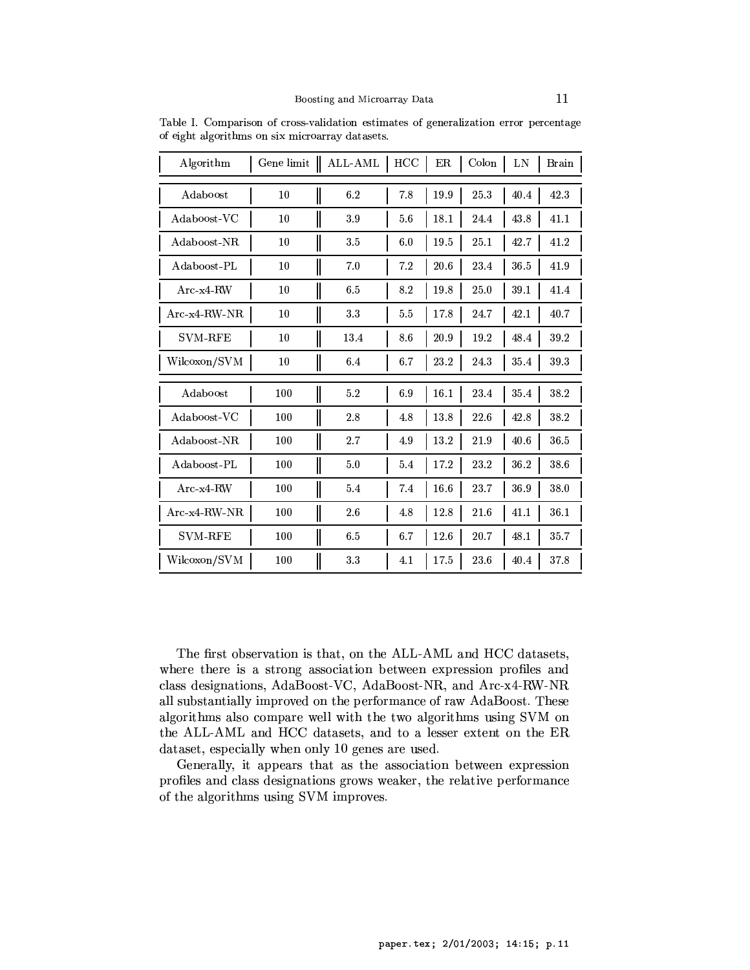| Algorithm      | Gene limit | ALL AML | HCC<br>ER<br>Colon<br>LN<br><b>Brain</b> |
|----------------|------------|---------|------------------------------------------|
| Adaboost       | 10         | 6.2     | 7.8<br>19.9<br>253<br>40.4<br>42.3       |
| Adaboost VC    | 10         | 39      | 18.1<br>24.4<br>43.8<br>41.1<br>56       |
| Adaboost NR    | 10         | 3.5     | 19.5<br>6.0<br>25.1<br>42.7<br>41.2      |
| Adaboost PL    | 10         | 7.0     | 20.6<br>36 5<br>7.2<br>23.4<br>41.9      |
| Arc-x4-RW      | 10         | 6.5     | 19.8<br>39.1<br>8.2<br>25.0<br>41.4      |
| Arc-x4 RW-NR   | $10\,$     | 3.3     | 17.8<br>42.1<br>40.7<br>5.5<br>24.7      |
| <b>SVM-RFE</b> | 10         | 13.4    | 20.9<br>19.2<br>39.2<br>8.6<br>48.4      |
| Wilcoxon/SVM   | 10         | 6.4     | 6.7<br>23.2<br>35.4<br>39 3<br>24.3      |
| Adaboost       | 100        | 5.2     | 16.1<br>23.4<br>35.4<br>38.2<br>6.9      |
| Adaboost VC    | 100        | 2.8     | 13.8<br>22.6<br>42.8<br>38.2<br>4.8      |
| Adaboost NR    | 100        | 2.7     | 13.2<br>4.9<br>21.9<br>40.6<br>36.5      |
| Adaboost-PL    | 100        | 5.0     | 17.2<br>36.2<br>5.4<br>23.2<br>38.6      |
| Arc-x4-RW      | 100        | 5.4     | 16.6<br>369<br>23.7<br>38.0<br>7.4       |
| Arc-x4 RW-NR   | 100        | 2.6     | 12.8<br>21.6<br>41.1<br>36.1<br>4.8      |
| <b>SVM-RFE</b> | 100        | 6.5     | 6.7<br>12.6<br>20.7<br>48.1<br>35.7      |
| Wilcoxon/SVM   | 100        | 3.3     | 17.5<br>23.6<br>37.8<br>40.4<br>4.1      |

¤wif S£"©iJlWj Jlgfi \_iJW<sup>j</sup> ]WQiD J jlSi -BiDW<sup>j</sup> lgll 9lWjISif of eight algorithms on six microarray datasets.

The first observation is that, on the ALL-AML and HCC datasets, where there is a strong association between expression profiles and class designations, AdaBoost-VC, AdaBoost-NR, and Arc-x4-RW-NR all substantially improved on the performance of raw AdaBoost. These algorithms also compare well with the two algorithms using SVM on the ALL-AML and HCC datasets, and to a lesser extent on the ER dataset, especially when only 10 genes are used.

Generally, it appears that as the association between expression profiles and class designations grows weaker, the relative performance of the algorithms using SVM improves.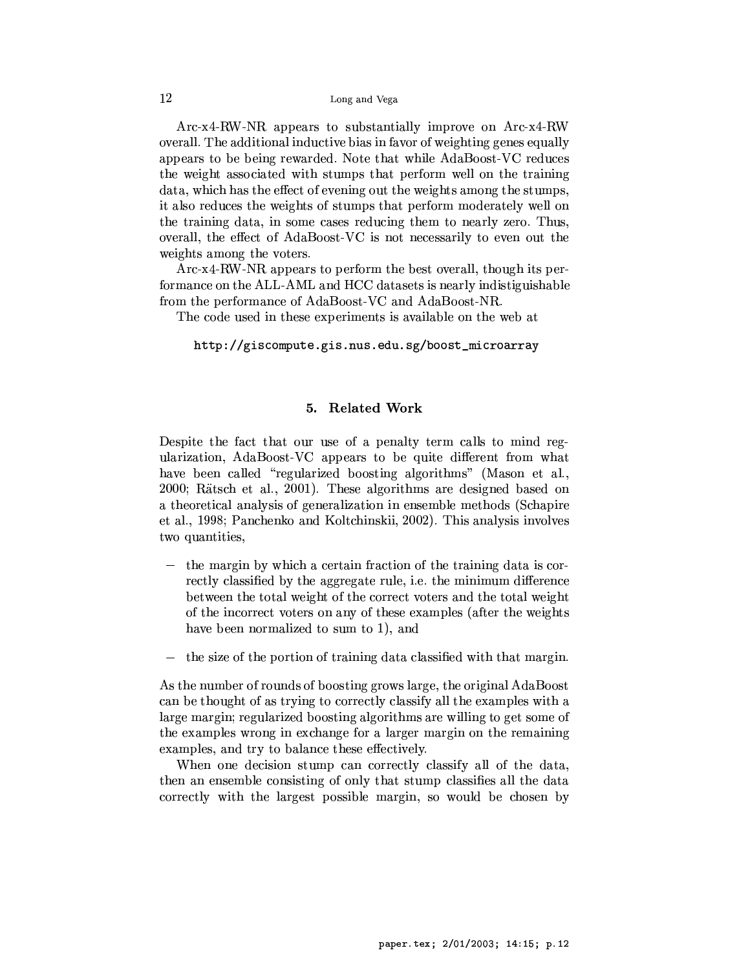Arc-x4-RW-NR appears to substantially improve on Arc-x4-RW overall. The additional inductive bias in favor of weighting genes equally appears to be being rewarded. Note that while AdaBoost-VC reduces the weight associated with stumps that perform well on the training data, which has the effect of evening out the weights among the stumps. it also reduces the weights of stumps that perform moderately well on the training data, in some cases reducing them to nearly zero. Thus, overall, the effect of AdaBoost-VC is not necessarily to even out the weights among the voters.

Arc-x4-RW-NR appears to perform the best overall, though its performance on the ALL-AML and HCC datasets is nearly indistiguishable from the performance of AdaBoost-VC and AdaBoost-NR.

The code used in these experiments is available on the web at

http://giscompute.gis.nus.edu.sg/boost\_microarray

## 5. Related Work

Despite the fact that our use of a penalty term calls to mind regularization, AdaBoost-VC appears to be quite different from what have been called "regularized boosting algorithms" (Mason et al., 2000; Rätsch et al., 2001). These algorithms are designed based on a theoretical analysis of generalization in ensemble methods (Schapire et al., 1998; Panchenko and Koltchinskii, 2002). This analysis involves two quantities,

- the margin by which a certain fraction of the training data is correctly classified by the aggregate rule, i.e. the minimum difference between the total weight of the correct voters and the total weight of the incorrect voters on any of these examples (after the weights have been normalized to sum to 1), and
- the size of the portion of training data classified with that margin.

As the number of rounds of boosting grows large, the original AdaBoost can be thought of as trying to correctly classify all the examples with a large margin; regularized boosting algorithms are willing to get some of the examples wrong in exchange for a larger margin on the remaining examples, and try to balance these effectively.

When one decision stump can correctly classify all of the data, then an ensemble consisting of only that stump classifies all the data correctly with the largest possible margin, so would be chosen by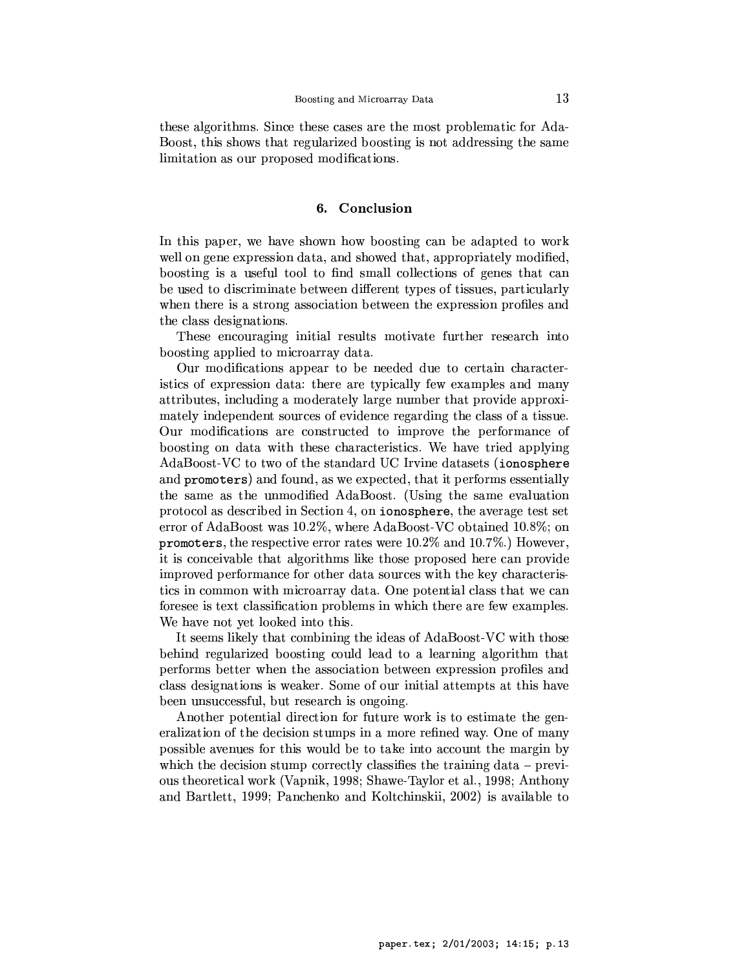these algorithms. Since these cases are the most problematic for Ada-Boost, this shows that regularized boosting is not addressing the same limitation as our proposed modifications.

# 6. Conclusion

In this paper, we have shown how boosting can be adapted to work well on gene expression data, and showed that, appropriately modified, boosting is a useful tool to find small collections of genes that can be used to discriminate between different types of tissues, particularly when there is a strong association between the expression profiles and the class designations.

These encouraging initial results motivate further research into boosting applied to microarray data.

Our modifications appear to be needed due to certain characteristics of expression data: there are typically few examples and many attributes, including a moderately large number that provide approximately independent sources of evidence regarding the class of a tissue. Our modifications are constructed to improve the performance of boosting on data with these characteristics. We have tried applying AdaBoost-VC to two of the standard UC Irvine datasets (ionosphere and promoters) and found, as we expected, that it performs essentially the same as the unmodified AdaBoost. (Using the same evaluation protocol as described in Section 4, on ionosphere, the average test set error of AdaBoost was 10.2%, where AdaBoost-VC obtained 10.8%; on promoters, the respective error rates were  $10.2\%$  and  $10.7\%$ .) However, it is conceivable that algorithms like those proposed here can provide improved performance for other data sources with the key characteristics in common with microarray data. One potential class that we can foresee is text classification problems in which there are few examples. We have not yet looked into this.

It seems likely that combining the ideas of AdaBoost-VC with those behind regularized boosting could lead to a learning algorithm that performs better when the association between expression profiles and class designations is weaker. Some of our initial attempts at this have been unsuccessful, but research is ongoing.

Another potential direction for future work is to estimate the generalization of the decision stumps in a more refined way. One of many possible avenues for this would be to take into account the margin by which the decision stump correctly classifies the training data – previous theoretical work (Vapnik, 1998; Shawe-Taylor et al., 1998; Anthony and Bartlett, 1999; Panchenko and Koltchinskii, 2002) is available to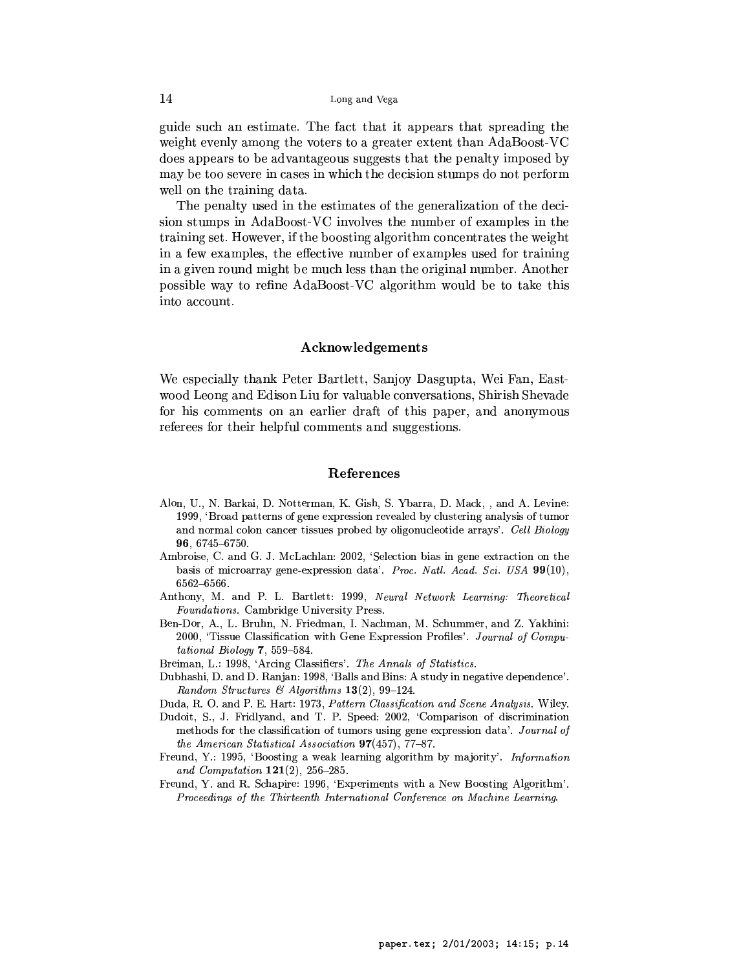guide such an estimate. The fact that it appears that spreading the weight evenly among the voters to a greater extent than AdaBoost-VC does appears to be advantageous suggests that the penalty imposed by may be too severe in cases in which the decision stumps do not perform well on the training data.

The penalty used in the estimates of the generalization of the decision stumps in AdaBoost-VC involves the number of examples in the training set. However, if the boosting algorithm concentrates the weight in a few examples, the effective number of examples used for training in a given round might be much less than the original number. Another possible way to refine AdaBoost-VC algorithm would be to take this into account.

#### Acknowledgements

We especially thank Peter Bartlett, Sanjoy Dasgupta, Wei Fan, Eastwood Leong and Edison Liu for valuable conversations, Shirish Shevade for his comments on an earlier draft of this paper, and anonymous referees for their helpful comments and suggestions.

## References

- Alon, U., N. Barkai, D. Notterman, K. Gish, S. Ybarra, D. Mack, , and A. Levine: 1999, 'Broad patterns of gene expression revealed by clustering analysis of tumor and normal colon cancer tissues probed by oligonucleotide arrays'. Cell Biology 96, 6745-6750.
- Ambroise, C. and G. J. McLachlan: 2002, 'Selection bias in gene extraction on the basis of microarray gene-expression data'. Proc. Natl. Acad. Sci. USA 99(10), 6562-6566.
- Anthony, M. and P. L. Bartlett: 1999, Neural Network Learning: Theoretical Foundations. Cambridge University Press.
- Ben-Dor, A., L. Bruhn, N. Friedman, I. Nachman, M. Schummer, and Z. Yakhini: 2000, 'Tissue Classification with Gene Expression Profiles'. Journal of Computational Biology  $7, 559-584$ .

Breiman, L.: 1998, 'Arcing Classifiers'. The Annals of Statistics.

- Dubhashi, D. and D. Ranjan: 1998, 'Balls and Bins: A study in negative dependence'. Random Structures & Algorithms  $13(2)$ , 99-124.
- Duda, R. O. and P. E. Hart: 1973, Pattern Classification and Scene Analysis. Wiley.
- Dudoit, S., J. Fridlyand, and T. P. Speed: 2002, 'Comparison of discrimination methods for the classification of tumors using gene expression data'. Journal of the American Statistical Association 97(457), 77-87.
- Freund, Y.: 1995, 'Boosting a weak learning algorithm by majority'. Information and Computation  $121(2)$ ,  $256-285$ .
- Freund, Y. and R. Schapire: 1996, 'Experiments with a New Boosting Algorithm'. Proceedings of the Thirteenth International Conference on Machine Learning.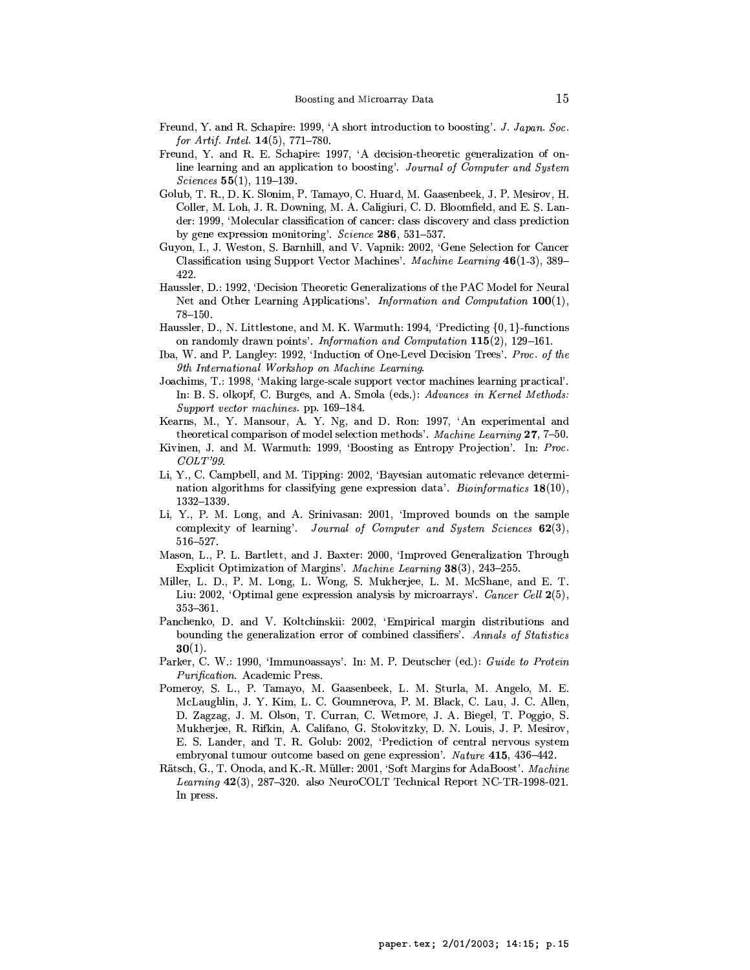- Freund, Y. and R. Schapire: 1999, 'A short introduction to boosting'. J. Japan. Soc. for Artif. Intel.  $14(5)$ , 771-780.
- Freund, Y. and R. E. Schapire: 1997, 'A decision-theoretic generalization of online learning and an application to boosting'. Journal of Computer and System Sciences  $55(1)$ , 119-139.
- Golub, T. R., D. K. Slonim, P. Tamayo, C. Huard, M. Gaasenbeek, J. P. Mesirov, H. Coller, M. Loh, J. R. Downing, M. A. Caligiuri, C. D. Bloomfield, and E. S. Lander: 1999, 'Molecular classification of cancer: class discovery and class prediction by gene expression monitoring'. Science 286, 531-537.
- Guyon, I., J. Weston, S. Barnhill, and V. Vapnik: 2002, 'Gene Selection for Cancer Classification using Support Vector Machines'. Machine Learning 46(1-3), 389-422
- Haussler, D.: 1992, 'Decision Theoretic Generalizations of the PAC Model for Neural Net and Other Learning Applications'. Information and Computation 100(1),  $78 - 150$ .
- Haussler, D., N. Littlestone, and M. K. Warmuth: 1994, 'Predicting {0, 1}-functions on randomly drawn points'. Information and Computation 115(2), 129-161.
- Iba, W. and P. Langley: 1992, 'Induction of One-Level Decision Trees'. Proc. of the 9th International Workshop on Machine Learning.
- Joachims, T.: 1998, 'Making large-scale support vector machines learning practical'. In: B. S. olkopf, C. Burges, and A. Smola (eds.): Advances in Kernel Methods: Support vector machines. pp. 169-184.
- Kearns, M., Y. Mansour, A. Y. Ng, and D. Ron: 1997, 'An experimental and theoretical comparison of model selection methods'. Machine Learning 27, 7-50.
- Kivinen, J. and M. Warmuth: 1999, 'Boosting as Entropy Projection'. In: Proc.  $COLT'99$ .
- Li, Y., C. Campbell, and M. Tipping: 2002, 'Bayesian automatic relevance determination algorithms for classifying gene expression data'. Bioinformatics  $18(10)$ , 1332-1339.
- Li, Y., P. M. Long, and A. Srinivasan: 2001, 'Improved bounds on the sample complexity of learning'. Journal of Computer and System Sciences 62(3),  $516 - 527$
- Mason, L., P. L. Bartlett, and J. Baxter: 2000, 'Improved Generalization Through Explicit Optimization of Margins'. Machine Learning 38(3), 243–255.
- Miller, L. D., P. M. Long, L. Wong, S. Mukherjee, L. M. McShane, and E. T. Liu: 2002, 'Optimal gene expression analysis by microarrays'. Cancer Cell 2(5),  $353 - 361.$
- Panchenko, D. and V. Koltchinskii: 2002, 'Empirical margin distributions and bounding the generalization error of combined classifiers'. Annals of Statistics  $30(1)$ .
- Parker, C. W.: 1990, 'Immunoassays'. In: M. P. Deutscher (ed.): Guide to Protein Purification. Academic Press.
- Pomeroy, S. L., P. Tamayo, M. Gaasenbeek, L. M. Sturla, M. Angelo, M. E. McLaughlin, J. Y. Kim, L. C. Goumnerova, P. M. Black, C. Lau, J. C. Allen, D. Zagzag, J. M. Olson, T. Curran, C. Wetmore, J. A. Biegel, T. Poggio, S. Mukherjee, R. Rifkin, A. Califano, G. Stolovitzky, D. N. Louis, J. P. Mesirov, E. S. Lander, and T. R. Golub: 2002, 'Prediction of central nervous system embryonal tumour outcome based on gene expression'. Nature 415, 436-442.
- Rätsch, G., T. Onoda, and K.-R. Müller: 2001, 'Soft Margins for AdaBoost'. Machine Learning  $42(3)$ , 287-320. also NeuroCOLT Technical Report NC-TR-1998-021. In press.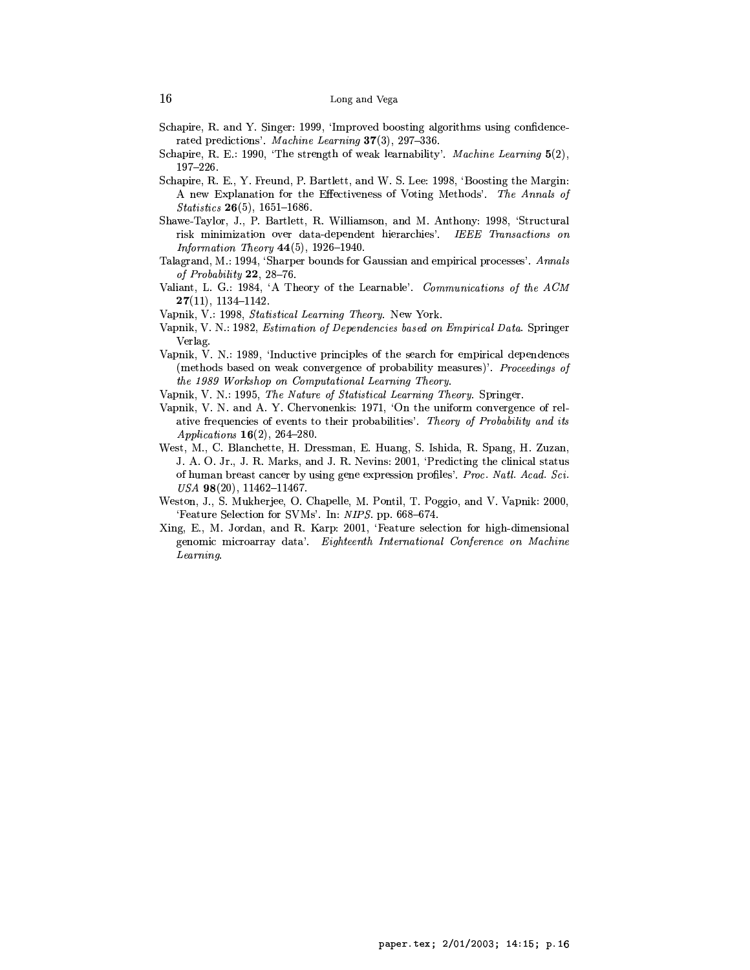- Schapire, R. and Y. Singer: 1999, 'Improved boosting algorithms using confidencerated predictions'. Machine Learning 37(3), 297-336.
- Schapire, R. E.: 1990, 'The strength of weak learnability'. Machine Learning 5(2),  $197 - 226$ .
- Schapire, R. E., Y. Freund, P. Bartlett, and W. S. Lee: 1998, 'Boosting the Margin: A new Explanation for the Effectiveness of Voting Methods'. The Annals of  $Statistics~26(5),~1651-1686.$
- Shawe-Taylor, J., P. Bartlett, R. Williamson, and M. Anthony: 1998, 'Structural risk minimization over data-dependent hierarchies'. IEEE Transactions on *Information Theory*  $44(5)$ , 1926-1940.
- Talagrand, M.: 1994, 'Sharper bounds for Gaussian and empirical processes'. Annals of Probability  $22, 28-76$ .
- Valiant, L. G.: 1984, 'A Theory of the Learnable'. Communications of the ACM  $27(11), 1134 - 1142.$
- Vapnik, V.: 1998, Statistical Learning Theory. New York.
- Vapnik, V. N.: 1982, Estimation of Dependencies based on Empirical Data. Springer Verlag.
- Vapnik, V. N.: 1989, 'Inductive principles of the search for empirical dependences (methods based on weak convergence of probability measures)'. Proceedings of the 1989 Workshop on Computational Learning Theory.
- Vapnik, V. N.: 1995, The Nature of Statistical Learning Theory. Springer.
- Vapnik, V. N. and A. Y. Chervonenkis: 1971, 'On the uniform convergence of relative frequencies of events to their probabilities'. Theory of Probability and its *Applications* **16**(2), 264-280.
- West, M., C. Blanchette, H. Dressman, E. Huang, S. Ishida, R. Spang, H. Zuzan, J. A. O. Jr., J. R. Marks, and J. R. Nevins: 2001, 'Predicting the clinical status of human breast cancer by using gene expression profiles'. Proc. Natl. Acad. Sci.  $USA$  98(20), 11462-11467.
- Weston, J., S. Mukherjee, O. Chapelle, M. Pontil, T. Poggio, and V. Vapnik: 2000, 'Feature Selection for SVMs'. In: NIPS. pp. 668-674.
- Xing, E., M. Jordan, and R. Karp: 2001, 'Feature selection for high-dimensional genomic microarray data'. Eighteenth International Conference on Machine  $Learning.$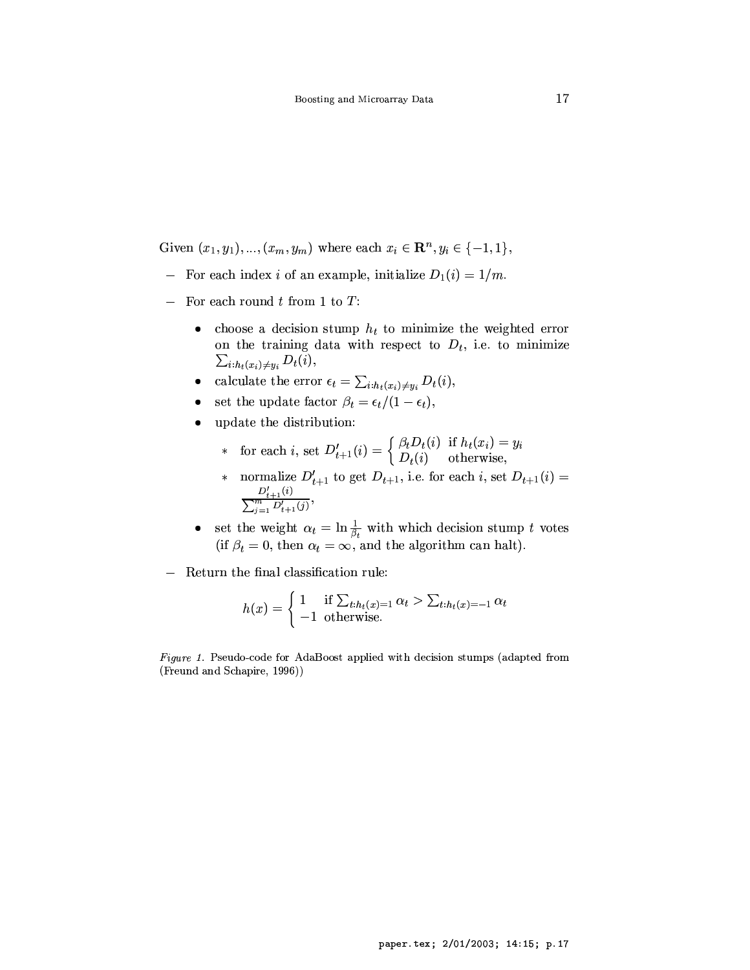Given  $(x_1, y_1), ..., (x_m, y_m)$  where each  $x_i \in \mathbb{R}^n, y_i \in \{-1, 1\},\$ 

- For each index *i* of an example, initialize  $D_1(i) = 1/m$ .  $\equiv$
- For each round  $t$  from 1 to  $T$ :  $\overline{\phantom{0}}$ 
	- choose a decision stump  $h_t$  to minimize the weighted error  $\bullet$ on the training data with respect to  $D_t$ , i.e. to minimize  $\sum_{i:h_t(x_i)\neq y_i} D_t(i),$
	- calculate the error  $\epsilon_t = \sum_{i:h_t(x_i)\neq y_i} D_t(i)$ ,  $\bullet$
	- set the update factor  $\beta_t = \epsilon_t/(1 \epsilon_t)$ ,  $\bullet$
	- update the distribution:  $\bullet$ 
		- \* for each i, set  $D'_{t+1}(i) = \begin{cases} \beta_t D_t(i) & \text{if } h_t(x_i) = y_i \\ D_t(i) & \text{otherwise,} \end{cases}$
		- \* normalize  $D'_{t+1}$  to get  $D_{t+1}$ , i.e. for each i, set  $D_{t+1}(i) = \frac{D'_{t+1}(i)}{\sum_{j=1}^{m} D'_{t+1}(j)}$ ,
	- set the weight  $\alpha_t = \ln \frac{1}{\beta_t}$  with which decision stump t votes (if  $\beta_t = 0$ , then  $\alpha_t = \infty$ , and the algorithm can halt).
- Return the final classification rule:

$$
h(x) = \begin{cases} 1 & \text{if } \sum_{t:h_t(x)=1} \alpha_t > \sum_{t:h_t(x)=-1} \alpha_t \\ -1 & \text{otherwise.} \end{cases}
$$

Figure 1. Pseudo-code for AdaBoost applied with decision stumps (adapted from (Freund and Schapire, 1996))